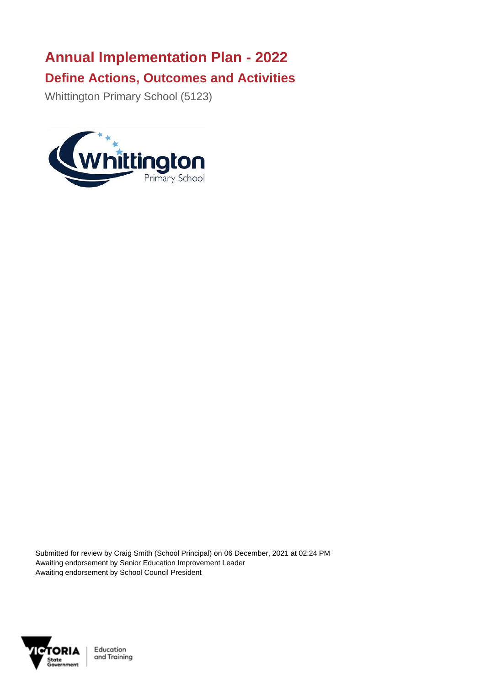## **Annual Implementation Plan - 2022 Define Actions, Outcomes and Activities**

Whittington Primary School (5123)



Submitted for review by Craig Smith (School Principal) on 06 December, 2021 at 02:24 PM Awaiting endorsement by Senior Education Improvement Leader Awaiting endorsement by School Council President

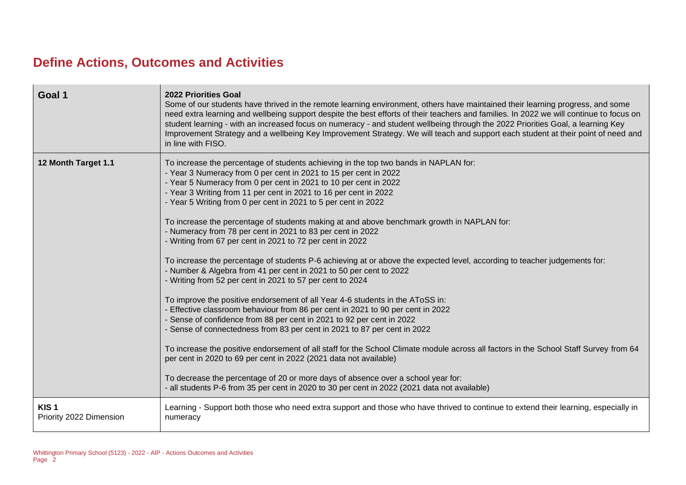## **Define Actions, Outcomes and Activities**

| Goal 1                                      | <b>2022 Priorities Goal</b><br>Some of our students have thrived in the remote learning environment, others have maintained their learning progress, and some<br>need extra learning and wellbeing support despite the best efforts of their teachers and families. In 2022 we will continue to focus on<br>student learning - with an increased focus on numeracy - and student wellbeing through the 2022 Priorities Goal, a learning Key<br>Improvement Strategy and a wellbeing Key Improvement Strategy. We will teach and support each student at their point of need and<br>in line with FISO.                                                                                                                                                                                                                                                                                                                                                                                                                                                                                                                                                                                                                                                                                                                                                                                                                                                                                                                                                                                  |
|---------------------------------------------|----------------------------------------------------------------------------------------------------------------------------------------------------------------------------------------------------------------------------------------------------------------------------------------------------------------------------------------------------------------------------------------------------------------------------------------------------------------------------------------------------------------------------------------------------------------------------------------------------------------------------------------------------------------------------------------------------------------------------------------------------------------------------------------------------------------------------------------------------------------------------------------------------------------------------------------------------------------------------------------------------------------------------------------------------------------------------------------------------------------------------------------------------------------------------------------------------------------------------------------------------------------------------------------------------------------------------------------------------------------------------------------------------------------------------------------------------------------------------------------------------------------------------------------------------------------------------------------|
| 12 Month Target 1.1                         | To increase the percentage of students achieving in the top two bands in NAPLAN for:<br>- Year 3 Numeracy from 0 per cent in 2021 to 15 per cent in 2022<br>- Year 5 Numeracy from 0 per cent in 2021 to 10 per cent in 2022<br>- Year 3 Writing from 11 per cent in 2021 to 16 per cent in 2022<br>- Year 5 Writing from 0 per cent in 2021 to 5 per cent in 2022<br>To increase the percentage of students making at and above benchmark growth in NAPLAN for:<br>- Numeracy from 78 per cent in 2021 to 83 per cent in 2022<br>- Writing from 67 per cent in 2021 to 72 per cent in 2022<br>To increase the percentage of students P-6 achieving at or above the expected level, according to teacher judgements for:<br>- Number & Algebra from 41 per cent in 2021 to 50 per cent to 2022<br>- Writing from 52 per cent in 2021 to 57 per cent to 2024<br>To improve the positive endorsement of all Year 4-6 students in the AToSS in:<br>- Effective classroom behaviour from 86 per cent in 2021 to 90 per cent in 2022<br>- Sense of confidence from 88 per cent in 2021 to 92 per cent in 2022<br>- Sense of connectedness from 83 per cent in 2021 to 87 per cent in 2022<br>To increase the positive endorsement of all staff for the School Climate module across all factors in the School Staff Survey from 64<br>per cent in 2020 to 69 per cent in 2022 (2021 data not available)<br>To decrease the percentage of 20 or more days of absence over a school year for:<br>- all students P-6 from 35 per cent in 2020 to 30 per cent in 2022 (2021 data not available) |
| KIS <sub>1</sub><br>Priority 2022 Dimension | Learning - Support both those who need extra support and those who have thrived to continue to extend their learning, especially in<br>numeracy                                                                                                                                                                                                                                                                                                                                                                                                                                                                                                                                                                                                                                                                                                                                                                                                                                                                                                                                                                                                                                                                                                                                                                                                                                                                                                                                                                                                                                        |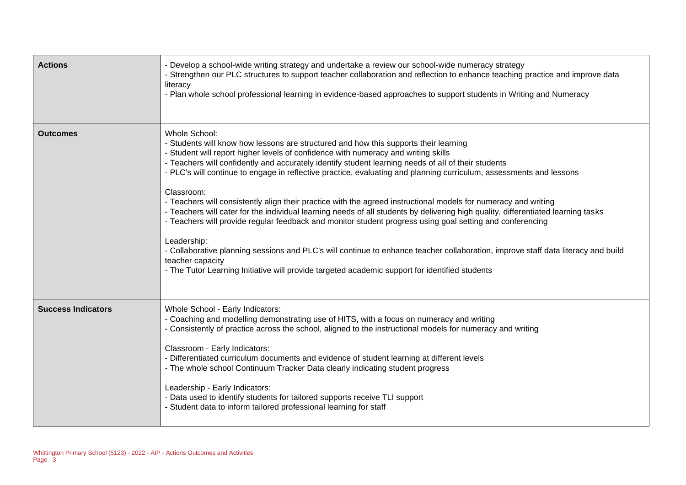| <b>Actions</b>            | - Develop a school-wide writing strategy and undertake a review our school-wide numeracy strategy<br>- Strengthen our PLC structures to support teacher collaboration and reflection to enhance teaching practice and improve data<br>literacy<br>- Plan whole school professional learning in evidence-based approaches to support students in Writing and Numeracy                                                                                                                                                                                                                                                                                                                                                                                                                                                                                                                                                                                                                                                                                                                   |
|---------------------------|----------------------------------------------------------------------------------------------------------------------------------------------------------------------------------------------------------------------------------------------------------------------------------------------------------------------------------------------------------------------------------------------------------------------------------------------------------------------------------------------------------------------------------------------------------------------------------------------------------------------------------------------------------------------------------------------------------------------------------------------------------------------------------------------------------------------------------------------------------------------------------------------------------------------------------------------------------------------------------------------------------------------------------------------------------------------------------------|
| <b>Outcomes</b>           | Whole School:<br>- Students will know how lessons are structured and how this supports their learning<br>- Student will report higher levels of confidence with numeracy and writing skills<br>- Teachers will confidently and accurately identify student learning needs of all of their students<br>- PLC's will continue to engage in reflective practice, evaluating and planning curriculum, assessments and lessons<br>Classroom:<br>- Teachers will consistently align their practice with the agreed instructional models for numeracy and writing<br>- Teachers will cater for the individual learning needs of all students by delivering high quality, differentiated learning tasks<br>- Teachers will provide regular feedback and monitor student progress using goal setting and conferencing<br>Leadership:<br>- Collaborative planning sessions and PLC's will continue to enhance teacher collaboration, improve staff data literacy and build<br>teacher capacity<br>- The Tutor Learning Initiative will provide targeted academic support for identified students |
| <b>Success Indicators</b> | Whole School - Early Indicators:<br>- Coaching and modelling demonstrating use of HITS, with a focus on numeracy and writing<br>- Consistently of practice across the school, aligned to the instructional models for numeracy and writing<br>Classroom - Early Indicators:<br>- Differentiated curriculum documents and evidence of student learning at different levels<br>- The whole school Continuum Tracker Data clearly indicating student progress<br>Leadership - Early Indicators:<br>- Data used to identify students for tailored supports receive TLI support<br>- Student data to inform tailored professional learning for staff                                                                                                                                                                                                                                                                                                                                                                                                                                        |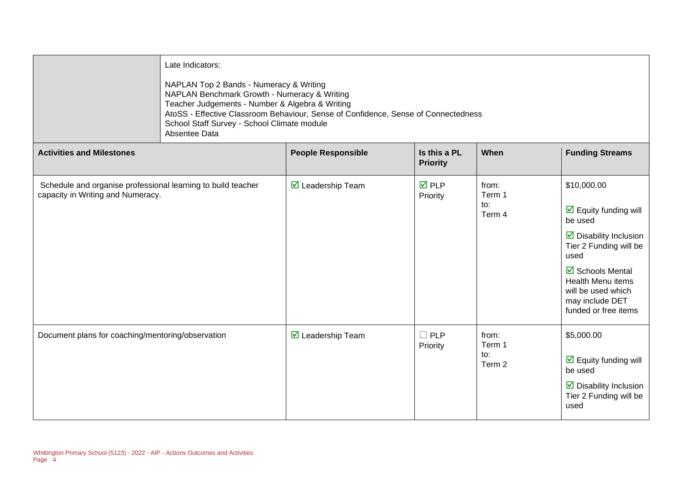|                                                                                                   | Late Indicators:<br>NAPLAN Top 2 Bands - Numeracy & Writing<br>NAPLAN Benchmark Growth - Numeracy & Writing<br>Teacher Judgements - Number & Algebra & Writing<br>AtoSS - Effective Classroom Behaviour, Sense of Confidence, Sense of Connectedness<br>School Staff Survey - School Climate module<br>Absentee Data |                                         |                                 |                                  |                                                                                                                                                                                                                                                                   |
|---------------------------------------------------------------------------------------------------|----------------------------------------------------------------------------------------------------------------------------------------------------------------------------------------------------------------------------------------------------------------------------------------------------------------------|-----------------------------------------|---------------------------------|----------------------------------|-------------------------------------------------------------------------------------------------------------------------------------------------------------------------------------------------------------------------------------------------------------------|
| <b>Activities and Milestones</b>                                                                  |                                                                                                                                                                                                                                                                                                                      | <b>People Responsible</b>               | Is this a PL<br><b>Priority</b> | When                             | <b>Funding Streams</b>                                                                                                                                                                                                                                            |
| Schedule and organise professional learning to build teacher<br>capacity in Writing and Numeracy. |                                                                                                                                                                                                                                                                                                                      | $\overline{\mathbf{M}}$ Leadership Team | <b>☑</b> PLP<br>Priority        | from:<br>Term 1<br>to:<br>Term 4 | \$10,000.00<br>$\overline{\mathbf{y}}$ Equity funding will<br>be used<br>$\triangleright$ Disability Inclusion<br>Tier 2 Funding will be<br>used<br>☑ Schools Mental<br><b>Health Menu items</b><br>will be used which<br>may include DET<br>funded or free items |
| Document plans for coaching/mentoring/observation                                                 |                                                                                                                                                                                                                                                                                                                      | $\overline{\mathbf{y}}$ Leadership Team | $\Box$ PLP<br>Priority          | from:<br>Term 1<br>to:<br>Term 2 | \$5,000.00<br>$\overline{\mathbf{y}}$ Equity funding will<br>be used<br>$\triangleright$ Disability Inclusion<br>Tier 2 Funding will be<br>used                                                                                                                   |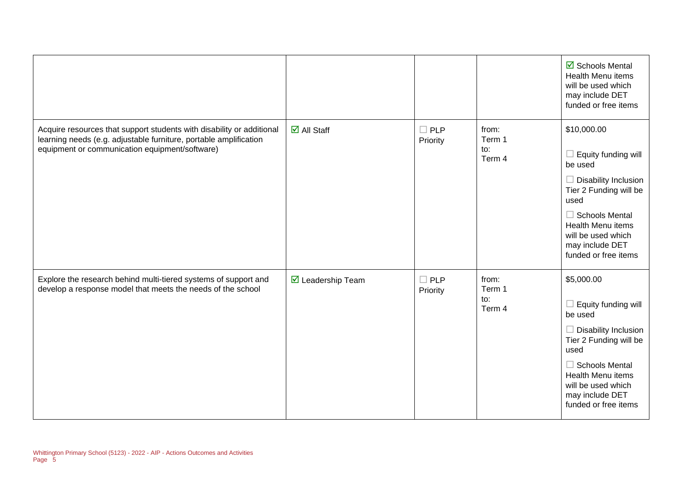|                                                                                                                                                                                              |                                         |                           |                                  | ☑ Schools Mental<br>Health Menu items<br>will be used which<br>may include DET<br>funded or free items                                                                                                                              |
|----------------------------------------------------------------------------------------------------------------------------------------------------------------------------------------------|-----------------------------------------|---------------------------|----------------------------------|-------------------------------------------------------------------------------------------------------------------------------------------------------------------------------------------------------------------------------------|
| Acquire resources that support students with disability or additional<br>learning needs (e.g. adjustable furniture, portable amplification<br>equipment or communication equipment/software) | $\overline{\blacksquare}$ All Staff     | $\square$ PLP<br>Priority | from:<br>Term 1<br>to:<br>Term 4 | \$10,000.00<br>Equity funding will<br>be used<br>$\Box$ Disability Inclusion<br>Tier 2 Funding will be<br>used<br>$\Box$ Schools Mental<br>Health Menu items<br>will be used which<br>may include DET<br>funded or free items       |
| Explore the research behind multi-tiered systems of support and<br>develop a response model that meets the needs of the school                                                               | $\overline{\mathbf{y}}$ Leadership Team | $\Box$ PLP<br>Priority    | from:<br>Term 1<br>to:<br>Term 4 | \$5,000.00<br>$\Box$ Equity funding will<br>be used<br>$\Box$ Disability Inclusion<br>Tier 2 Funding will be<br>used<br>$\Box$ Schools Mental<br>Health Menu items<br>will be used which<br>may include DET<br>funded or free items |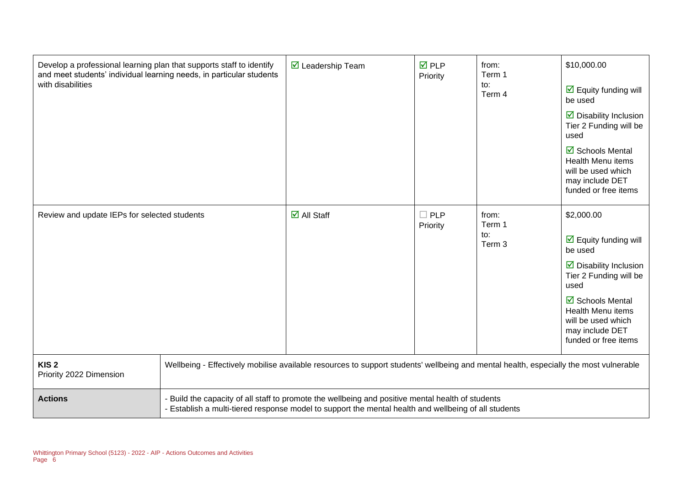| Develop a professional learning plan that supports staff to identify<br>and meet students' individual learning needs, in particular students<br>with disabilities |                                                                                                                                                                                                           | $\triangledown$ Leadership Team                                                                                                       | $\overline{M}$ PLP<br>Priority | from:<br>Term 1<br>to:<br>Term 4            | \$10,000.00<br>$\overline{\mathbf{y}}$ Equity funding will<br>be used<br>$\triangleright$ Disability Inclusion<br>Tier 2 Funding will be<br>used<br>$\overline{\mathbf{M}}$ Schools Mental<br>Health Menu items<br>will be used which<br>may include DET<br>funded or free items |
|-------------------------------------------------------------------------------------------------------------------------------------------------------------------|-----------------------------------------------------------------------------------------------------------------------------------------------------------------------------------------------------------|---------------------------------------------------------------------------------------------------------------------------------------|--------------------------------|---------------------------------------------|----------------------------------------------------------------------------------------------------------------------------------------------------------------------------------------------------------------------------------------------------------------------------------|
| Review and update IEPs for selected students                                                                                                                      |                                                                                                                                                                                                           | $\overline{\blacksquare}$ All Staff                                                                                                   | $\Box$ PLP<br>Priority         | from:<br>Term 1<br>to:<br>Term <sub>3</sub> | \$2,000.00<br>$\overline{\mathbf{M}}$ Equity funding will<br>be used<br>$\triangleright$ Disability Inclusion<br>Tier 2 Funding will be<br>used<br>☑ Schools Mental<br><b>Health Menu items</b><br>will be used which<br>may include DET<br>funded or free items                 |
| KIS <sub>2</sub><br>Priority 2022 Dimension                                                                                                                       |                                                                                                                                                                                                           | Wellbeing - Effectively mobilise available resources to support students' wellbeing and mental health, especially the most vulnerable |                                |                                             |                                                                                                                                                                                                                                                                                  |
| <b>Actions</b>                                                                                                                                                    | - Build the capacity of all staff to promote the wellbeing and positive mental health of students<br>- Establish a multi-tiered response model to support the mental health and wellbeing of all students |                                                                                                                                       |                                |                                             |                                                                                                                                                                                                                                                                                  |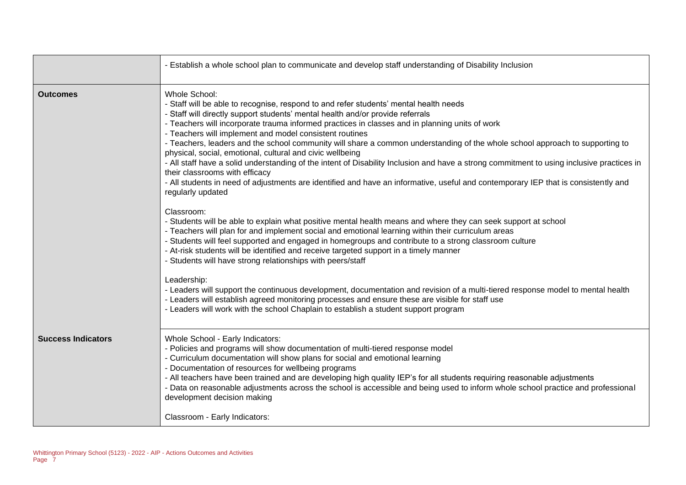|                           | - Establish a whole school plan to communicate and develop staff understanding of Disability Inclusion                                                                                                                                                                                                                                                                                                                                                                                                                                                                                                                                                                                                                                                                                                                                                                                       |
|---------------------------|----------------------------------------------------------------------------------------------------------------------------------------------------------------------------------------------------------------------------------------------------------------------------------------------------------------------------------------------------------------------------------------------------------------------------------------------------------------------------------------------------------------------------------------------------------------------------------------------------------------------------------------------------------------------------------------------------------------------------------------------------------------------------------------------------------------------------------------------------------------------------------------------|
| <b>Outcomes</b>           | Whole School:<br>- Staff will be able to recognise, respond to and refer students' mental health needs<br>- Staff will directly support students' mental health and/or provide referrals<br>- Teachers will incorporate trauma informed practices in classes and in planning units of work<br>- Teachers will implement and model consistent routines<br>- Teachers, leaders and the school community will share a common understanding of the whole school approach to supporting to<br>physical, social, emotional, cultural and civic wellbeing<br>- All staff have a solid understanding of the intent of Disability Inclusion and have a strong commitment to using inclusive practices in<br>their classrooms with efficacy<br>- All students in need of adjustments are identified and have an informative, useful and contemporary IEP that is consistently and<br>regularly updated |
|                           | Classroom:<br>- Students will be able to explain what positive mental health means and where they can seek support at school<br>- Teachers will plan for and implement social and emotional learning within their curriculum areas<br>- Students will feel supported and engaged in homegroups and contribute to a strong classroom culture<br>- At-risk students will be identified and receive targeted support in a timely manner<br>- Students will have strong relationships with peers/staff<br>Leadership:                                                                                                                                                                                                                                                                                                                                                                            |
|                           | - Leaders will support the continuous development, documentation and revision of a multi-tiered response model to mental health<br>- Leaders will establish agreed monitoring processes and ensure these are visible for staff use<br>- Leaders will work with the school Chaplain to establish a student support program                                                                                                                                                                                                                                                                                                                                                                                                                                                                                                                                                                    |
| <b>Success Indicators</b> | Whole School - Early Indicators:<br>- Policies and programs will show documentation of multi-tiered response model<br>- Curriculum documentation will show plans for social and emotional learning<br>- Documentation of resources for wellbeing programs<br>- All teachers have been trained and are developing high quality IEP's for all students requiring reasonable adjustments<br>- Data on reasonable adjustments across the school is accessible and being used to inform whole school practice and professional<br>development decision making                                                                                                                                                                                                                                                                                                                                     |
|                           | Classroom - Early Indicators:                                                                                                                                                                                                                                                                                                                                                                                                                                                                                                                                                                                                                                                                                                                                                                                                                                                                |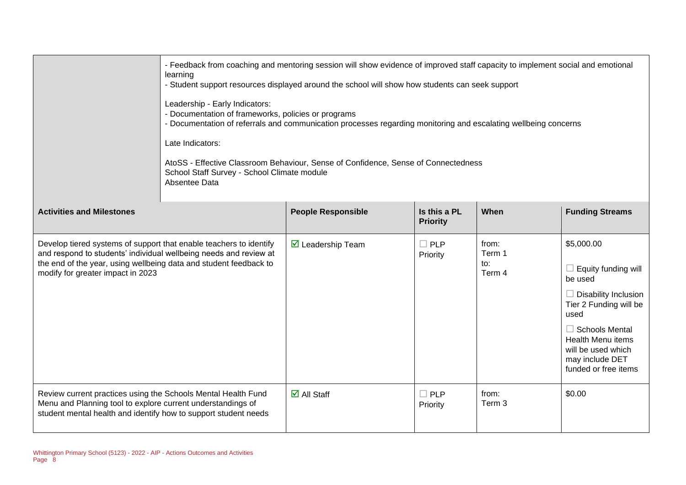|                                                                                                                                                                                                                                                   | - Feedback from coaching and mentoring session will show evidence of improved staff capacity to implement social and emotional<br>learning<br>- Student support resources displayed around the school will show how students can seek support<br>Leadership - Early Indicators:<br>- Documentation of frameworks, policies or programs<br>- Documentation of referrals and communication processes regarding monitoring and escalating wellbeing concerns<br>Late Indicators:<br>AtoSS - Effective Classroom Behaviour, Sense of Confidence, Sense of Connectedness<br>School Staff Survey - School Climate module<br>Absentee Data |                                   |                                 |                                  |                                                                                                                                                                                                                                     |
|---------------------------------------------------------------------------------------------------------------------------------------------------------------------------------------------------------------------------------------------------|-------------------------------------------------------------------------------------------------------------------------------------------------------------------------------------------------------------------------------------------------------------------------------------------------------------------------------------------------------------------------------------------------------------------------------------------------------------------------------------------------------------------------------------------------------------------------------------------------------------------------------------|-----------------------------------|---------------------------------|----------------------------------|-------------------------------------------------------------------------------------------------------------------------------------------------------------------------------------------------------------------------------------|
| <b>Activities and Milestones</b>                                                                                                                                                                                                                  |                                                                                                                                                                                                                                                                                                                                                                                                                                                                                                                                                                                                                                     | <b>People Responsible</b>         | Is this a PL<br><b>Priority</b> | When                             | <b>Funding Streams</b>                                                                                                                                                                                                              |
| Develop tiered systems of support that enable teachers to identify<br>and respond to students' individual wellbeing needs and review at<br>the end of the year, using wellbeing data and student feedback to<br>modify for greater impact in 2023 |                                                                                                                                                                                                                                                                                                                                                                                                                                                                                                                                                                                                                                     | $\triangledown$ Leadership Team   | $\Box$ PLP<br>Priority          | from:<br>Term 1<br>to:<br>Term 4 | \$5,000.00<br>$\Box$ Equity funding will<br>be used<br>$\Box$ Disability Inclusion<br>Tier 2 Funding will be<br>used<br>$\Box$ Schools Mental<br>Health Menu items<br>will be used which<br>may include DET<br>funded or free items |
| Review current practices using the Schools Mental Health Fund<br>Menu and Planning tool to explore current understandings of<br>student mental health and identify how to support student needs                                                   |                                                                                                                                                                                                                                                                                                                                                                                                                                                                                                                                                                                                                                     | $\overline{\mathbf{z}}$ All Staff | $\Box$ PLP<br>Priority          | from:<br>Term <sub>3</sub>       | \$0.00                                                                                                                                                                                                                              |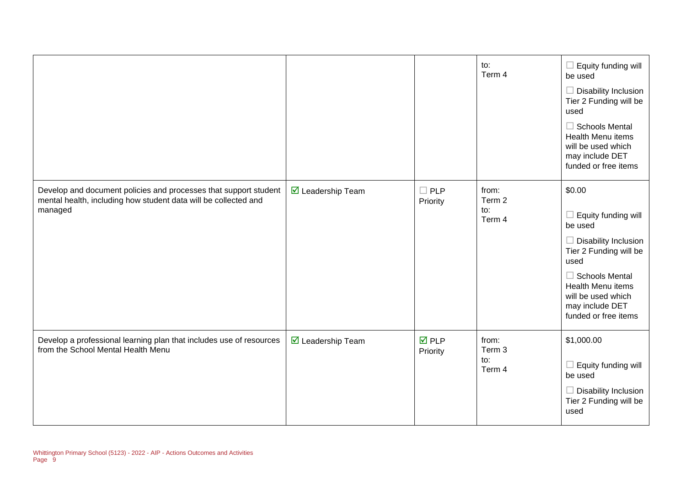|                                                                                                                                                |                                         |                                | to:<br>Term 4                    | Equity funding will<br>$\mathcal{L}_{\mathcal{A}}$<br>be used<br>Disability Inclusion<br>Tier 2 Funding will be<br>used<br>$\Box$ Schools Mental<br><b>Health Menu items</b><br>will be used which<br>may include DET<br>funded or free items |
|------------------------------------------------------------------------------------------------------------------------------------------------|-----------------------------------------|--------------------------------|----------------------------------|-----------------------------------------------------------------------------------------------------------------------------------------------------------------------------------------------------------------------------------------------|
| Develop and document policies and processes that support student<br>mental health, including how student data will be collected and<br>managed | ☑ Leadership Team                       | <b>PLP</b><br>Priority         | from:<br>Term 2<br>to:<br>Term 4 | \$0.00<br>Equity funding will<br>be used<br>Disability Inclusion<br>Tier 2 Funding will be<br>used<br>$\Box$ Schools Mental<br>Health Menu items<br>will be used which<br>may include DET<br>funded or free items                             |
| Develop a professional learning plan that includes use of resources<br>from the School Mental Health Menu                                      | $\overline{\mathbf{M}}$ Leadership Team | $\overline{M}$ PLP<br>Priority | from:<br>Term 3<br>to:<br>Term 4 | \$1,000.00<br>$\Box$ Equity funding will<br>be used<br>$\Box$ Disability Inclusion<br>Tier 2 Funding will be<br>used                                                                                                                          |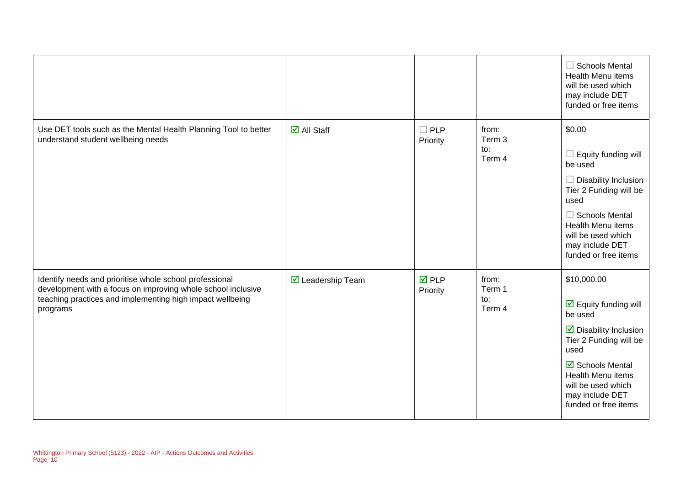|                                                                                                                                                                                                  |                                     |                                |                                  | $\Box$ Schools Mental<br><b>Health Menu items</b><br>will be used which<br>may include DET<br>funded or free items                                                                                                                                          |
|--------------------------------------------------------------------------------------------------------------------------------------------------------------------------------------------------|-------------------------------------|--------------------------------|----------------------------------|-------------------------------------------------------------------------------------------------------------------------------------------------------------------------------------------------------------------------------------------------------------|
| Use DET tools such as the Mental Health Planning Tool to better<br>understand student wellbeing needs                                                                                            | $\overline{\blacksquare}$ All Staff | $\Box$ PLP<br>Priority         | from:<br>Term 3<br>to:<br>Term 4 | \$0.00<br>Equity funding will<br>be used<br><b>Disability Inclusion</b><br>$\overline{\phantom{a}}$<br>Tier 2 Funding will be<br>used<br>$\Box$ Schools Mental<br><b>Health Menu items</b><br>will be used which<br>may include DET<br>funded or free items |
| Identify needs and prioritise whole school professional<br>development with a focus on improving whole school inclusive<br>teaching practices and implementing high impact wellbeing<br>programs | $\triangledown$ Leadership Team     | $\overline{M}$ PLP<br>Priority | from:<br>Term 1<br>to:<br>Term 4 | \$10,000.00<br>$\overline{\mathbf{y}}$ Equity funding will<br>be used<br>$\triangleright$ Disability Inclusion<br>Tier 2 Funding will be<br>used<br>☑ Schools Mental<br>Health Menu items<br>will be used which<br>may include DET<br>funded or free items  |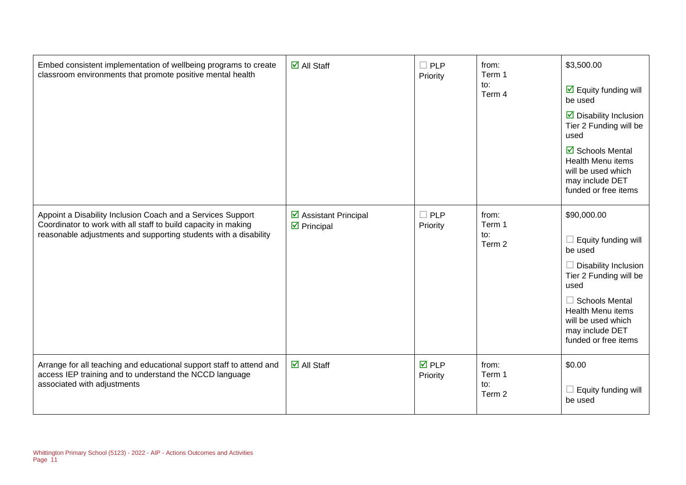| Embed consistent implementation of wellbeing programs to create<br>classroom environments that promote positive mental health                                                                     | $\overline{\mathbf{z}}$ All Staff                                  | $\Box$ PLP<br>Priority         | from:<br>Term 1<br>to:<br>Term 4 | \$3,500.00<br>$\overline{\mathbf{M}}$ Equity funding will<br>be used<br>$\triangleright$ Disability Inclusion<br>Tier 2 Funding will be<br>used<br>☑ Schools Mental<br>Health Menu items<br>will be used which<br>may include DET<br>funded or free items |
|---------------------------------------------------------------------------------------------------------------------------------------------------------------------------------------------------|--------------------------------------------------------------------|--------------------------------|----------------------------------|-----------------------------------------------------------------------------------------------------------------------------------------------------------------------------------------------------------------------------------------------------------|
| Appoint a Disability Inclusion Coach and a Services Support<br>Coordinator to work with all staff to build capacity in making<br>reasonable adjustments and supporting students with a disability | $\triangleright$ Assistant Principal<br>$\triangleright$ Principal | $\Box$ PLP<br>Priority         | from:<br>Term 1<br>to:<br>Term 2 | \$90,000.00<br>$\Box$ Equity funding will<br>be used<br>$\Box$ Disability Inclusion<br>Tier 2 Funding will be<br>used<br>$\Box$ Schools Mental<br>Health Menu items<br>will be used which<br>may include DET<br>funded or free items                      |
| Arrange for all teaching and educational support staff to attend and<br>access IEP training and to understand the NCCD language<br>associated with adjustments                                    | $\overline{\mathbf{d}}$ All Staff                                  | $\overline{M}$ PLP<br>Priority | from:<br>Term 1<br>to:<br>Term 2 | \$0.00<br>Equity funding will<br>be used                                                                                                                                                                                                                  |